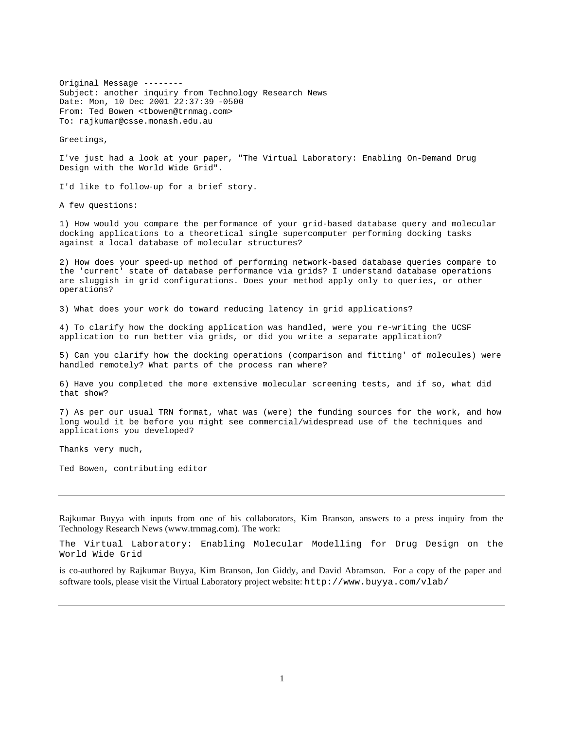Original Message -------- Subject: another inquiry from Technology Research News Date: Mon, 10 Dec 2001 22:37:39 -0500 From: Ted Bowen <tbowen@trnmag.com> To: rajkumar@csse.monash.edu.au

Greetings,

I've just had a look at your paper, "The Virtual Laboratory: Enabling On-Demand Drug Design with the World Wide Grid".

I'd like to follow-up for a brief story.

A few questions:

1) How would you compare the performance of your grid-based database query and molecular docking applications to a theoretical single supercomputer performing docking tasks against a local database of molecular structures?

2) How does your speed-up method of performing network-based database queries compare to the 'current' state of database performance via grids? I understand database operations are sluggish in grid configurations. Does your method apply only to queries, or other operations?

3) What does your work do toward reducing latency in grid applications?

4) To clarify how the docking application was handled, were you re-writing the UCSF application to run better via grids, or did you write a separate application?

5) Can you clarify how the docking operations (comparison and fitting' of molecules) were handled remotely? What parts of the process ran where?

6) Have you completed the more extensive molecular screening tests, and if so, what did that show?

7) As per our usual TRN format, what was (were) the funding sources for the work, and how long would it be before you might see commercial/widespread use of the techniques and applications you developed?

Thanks very much,

Ted Bowen, contributing editor

Rajkumar Buyya with inputs from one of his collaborators, Kim Branson, answers to a press inquiry from the Technology Research News (www.trnmag.com). The work:

The Virtual Laboratory: Enabling Molecular Modelling for Drug Design on the World Wide Grid

is co-authored by Rajkumar Buyya, Kim Branson, Jon Giddy, and David Abramson. For a copy of the paper and software tools, please visit the Virtual Laboratory project website: http://www.buyya.com/vlab/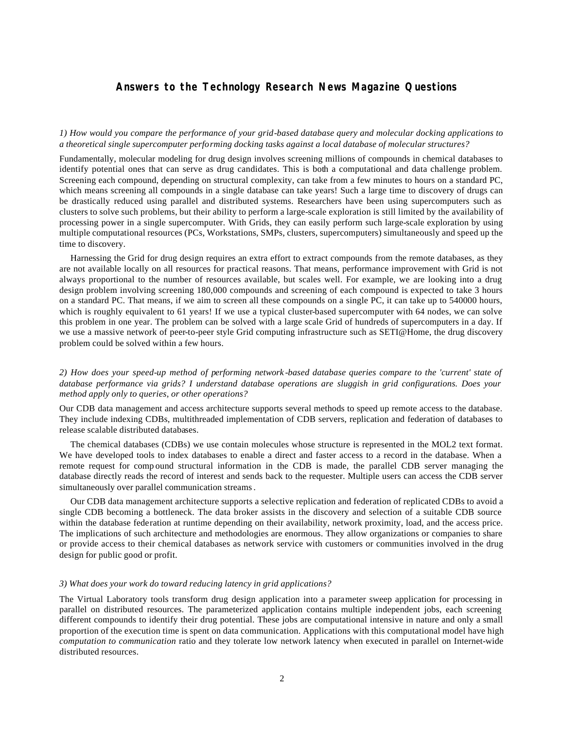# **Answers to the Technology Research News Magazine Questions**

*1) How would you compare the performance of your grid-based database query and molecular docking applications to a theoretical single supercomputer performing docking tasks against a local database of molecular structures?*

Fundamentally, molecular modeling for drug design involves screening millions of compounds in chemical databases to identify potential ones that can serve as drug candidates. This is both a computational and data challenge problem. Screening each compound, depending on structural complexity, can take from a few minutes to hours on a standard PC, which means screening all compounds in a single database can take years! Such a large time to discovery of drugs can be drastically reduced using parallel and distributed systems. Researchers have been using supercomputers such as clusters to solve such problems, but their ability to perform a large-scale exploration is still limited by the availability of processing power in a single supercomputer. With Grids, they can easily perform such large-scale exploration by using multiple computational resources (PCs, Workstations, SMPs, clusters, supercomputers) simultaneously and speed up the time to discovery.

Harnessing the Grid for drug design requires an extra effort to extract compounds from the remote databases, as they are not available locally on all resources for practical reasons. That means, performance improvement with Grid is not always proportional to the number of resources available, but scales well. For example, we are looking into a drug design problem involving screening 180,000 compounds and screening of each compound is expected to take 3 hours on a standard PC. That means, if we aim to screen all these compounds on a single PC, it can take up to 540000 hours, which is roughly equivalent to 61 years! If we use a typical cluster-based supercomputer with 64 nodes, we can solve this problem in one year. The problem can be solved with a large scale Grid of hundreds of supercomputers in a day. If we use a massive network of peer-to-peer style Grid computing infrastructure such as SETI@Home, the drug discovery problem could be solved within a few hours.

*2) How does your speed-up method of performing network -based database queries compare to the 'current' state of database performance via grids? I understand database operations are sluggish in grid configurations. Does your method apply only to queries, or other operations?* 

Our CDB data management and access architecture supports several methods to speed up remote access to the database. They include indexing CDBs, multithreaded implementation of CDB servers, replication and federation of databases to release scalable distributed databases.

The chemical databases (CDBs) we use contain molecules whose structure is represented in the MOL2 text format. We have developed tools to index databases to enable a direct and faster access to a record in the database. When a remote request for comp ound structural information in the CDB is made, the parallel CDB server managing the database directly reads the record of interest and sends back to the requester. Multiple users can access the CDB server simultaneously over parallel communication streams.

Our CDB data management architecture supports a selective replication and federation of replicated CDBs to avoid a single CDB becoming a bottleneck. The data broker assists in the discovery and selection of a suitable CDB source within the database federation at runtime depending on their availability, network proximity, load, and the access price. The implications of such architecture and methodologies are enormous. They allow organizations or companies to share or provide access to their chemical databases as network service with customers or communities involved in the drug design for public good or profit.

#### *3) What does your work do toward reducing latency in grid applications?*

The Virtual Laboratory tools transform drug design application into a parameter sweep application for processing in parallel on distributed resources. The parameterized application contains multiple independent jobs, each screening different compounds to identify their drug potential. These jobs are computational intensive in nature and only a small proportion of the execution time is spent on data communication. Applications with this computational model have high *computation to communication* ratio and they tolerate low network latency when executed in parallel on Internet-wide distributed resources.